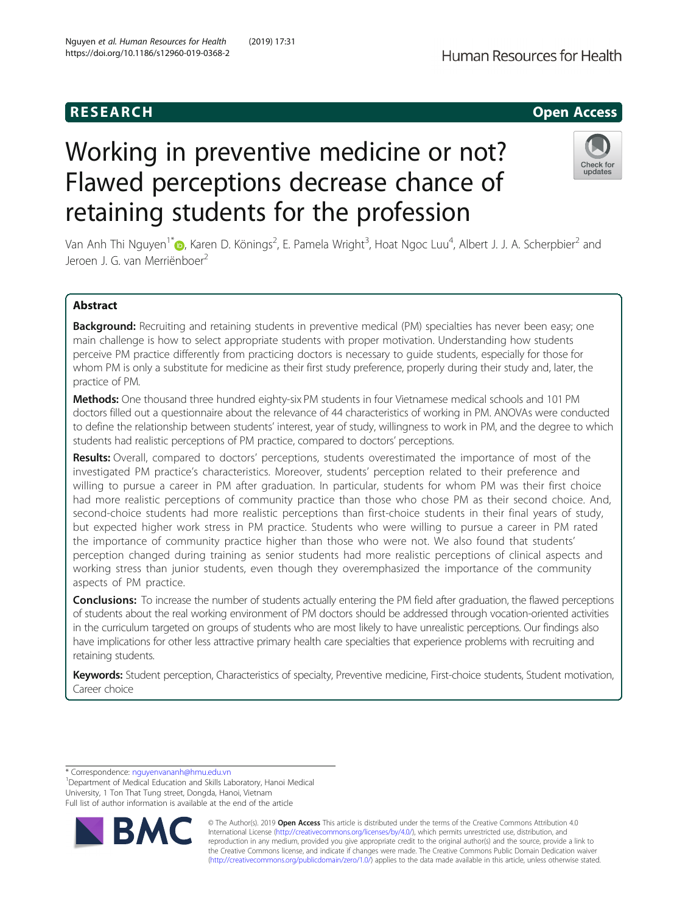# Working in preventive medicine or not? Flawed perceptions decrease chance of retaining students for the profession

Van Anh Thi Nguyen<sup>1\*</sup>�[,](http://orcid.org/0000-0002-3673-7288) Karen D. Könings<sup>2</sup>, E. Pamela Wright<sup>3</sup>, Hoat Ngoc Luu<sup>4</sup>, Albert J. J. A. Scherpbier<sup>2</sup> and Jeroen J. G. van Merriënboer<sup>2</sup>

# Abstract

Background: Recruiting and retaining students in preventive medical (PM) specialties has never been easy; one main challenge is how to select appropriate students with proper motivation. Understanding how students perceive PM practice differently from practicing doctors is necessary to guide students, especially for those for whom PM is only a substitute for medicine as their first study preference, properly during their study and, later, the practice of PM.

Methods: One thousand three hundred eighty-six PM students in four Vietnamese medical schools and 101 PM doctors filled out a questionnaire about the relevance of 44 characteristics of working in PM. ANOVAs were conducted to define the relationship between students' interest, year of study, willingness to work in PM, and the degree to which students had realistic perceptions of PM practice, compared to doctors' perceptions.

Results: Overall, compared to doctors' perceptions, students overestimated the importance of most of the investigated PM practice's characteristics. Moreover, students' perception related to their preference and willing to pursue a career in PM after graduation. In particular, students for whom PM was their first choice had more realistic perceptions of community practice than those who chose PM as their second choice. And, second-choice students had more realistic perceptions than first-choice students in their final years of study, but expected higher work stress in PM practice. Students who were willing to pursue a career in PM rated the importance of community practice higher than those who were not. We also found that students' perception changed during training as senior students had more realistic perceptions of clinical aspects and working stress than junior students, even though they overemphasized the importance of the community aspects of PM practice.

Conclusions: To increase the number of students actually entering the PM field after graduation, the flawed perceptions of students about the real working environment of PM doctors should be addressed through vocation-oriented activities in the curriculum targeted on groups of students who are most likely to have unrealistic perceptions. Our findings also have implications for other less attractive primary health care specialties that experience problems with recruiting and retaining students.

Keywords: Student perception, Characteristics of specialty, Preventive medicine, First-choice students, Student motivation, Career choice

\* Correspondence: [nguyenvananh@hmu.edu.vn](mailto:nguyenvananh@hmu.edu.vn) <sup>1</sup>

RA

<sup>1</sup> Department of Medical Education and Skills Laboratory, Hanoi Medical University, 1 Ton That Tung street, Dongda, Hanoi, Vietnam Full list of author information is available at the end of the article





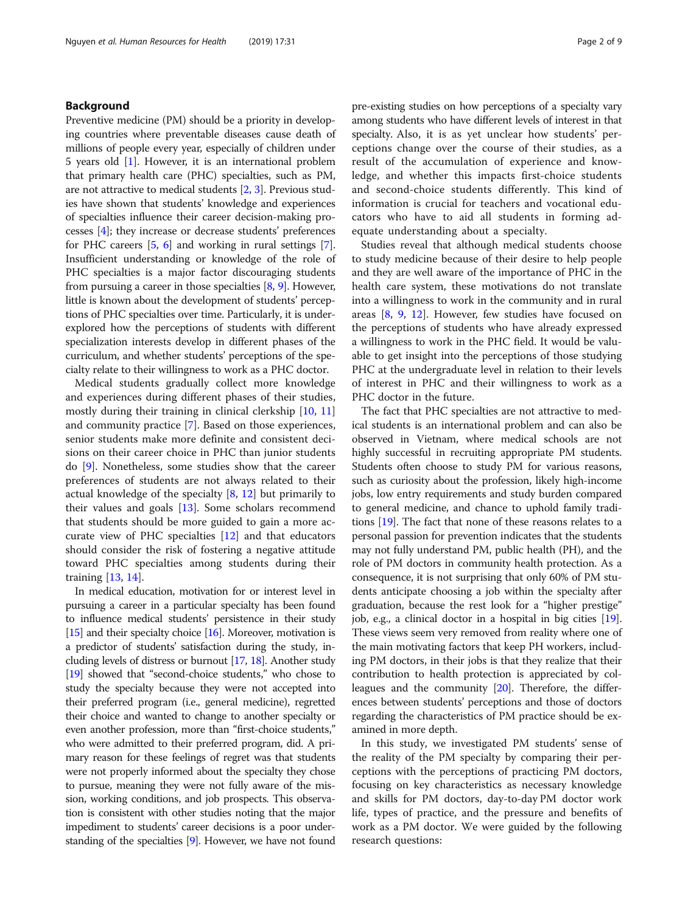# Background

Preventive medicine (PM) should be a priority in developing countries where preventable diseases cause death of millions of people every year, especially of children under 5 years old [[1](#page-7-0)]. However, it is an international problem that primary health care (PHC) specialties, such as PM, are not attractive to medical students [[2,](#page-7-0) [3](#page-7-0)]. Previous studies have shown that students' knowledge and experiences of specialties influence their career decision-making processes [\[4\]](#page-7-0); they increase or decrease students' preferences for PHC careers [[5](#page-7-0), [6](#page-7-0)] and working in rural settings [[7](#page-7-0)]. Insufficient understanding or knowledge of the role of PHC specialties is a major factor discouraging students from pursuing a career in those specialties [\[8,](#page-8-0) [9](#page-8-0)]. However, little is known about the development of students' perceptions of PHC specialties over time. Particularly, it is underexplored how the perceptions of students with different specialization interests develop in different phases of the curriculum, and whether students' perceptions of the specialty relate to their willingness to work as a PHC doctor.

Medical students gradually collect more knowledge and experiences during different phases of their studies, mostly during their training in clinical clerkship [\[10](#page-8-0), [11](#page-8-0)] and community practice [[7\]](#page-7-0). Based on those experiences, senior students make more definite and consistent decisions on their career choice in PHC than junior students do [\[9](#page-8-0)]. Nonetheless, some studies show that the career preferences of students are not always related to their actual knowledge of the specialty  $[8, 12]$  $[8, 12]$  $[8, 12]$  but primarily to their values and goals [\[13](#page-8-0)]. Some scholars recommend that students should be more guided to gain a more accurate view of PHC specialties [\[12\]](#page-8-0) and that educators should consider the risk of fostering a negative attitude toward PHC specialties among students during their training [[13,](#page-8-0) [14](#page-8-0)].

In medical education, motivation for or interest level in pursuing a career in a particular specialty has been found to influence medical students' persistence in their study [[15](#page-8-0)] and their specialty choice [\[16](#page-8-0)]. Moreover, motivation is a predictor of students' satisfaction during the study, including levels of distress or burnout [[17](#page-8-0), [18](#page-8-0)]. Another study [[19](#page-8-0)] showed that "second-choice students," who chose to study the specialty because they were not accepted into their preferred program (i.e., general medicine), regretted their choice and wanted to change to another specialty or even another profession, more than "first-choice students," who were admitted to their preferred program, did. A primary reason for these feelings of regret was that students were not properly informed about the specialty they chose to pursue, meaning they were not fully aware of the mission, working conditions, and job prospects. This observation is consistent with other studies noting that the major impediment to students' career decisions is a poor understanding of the specialties [\[9\]](#page-8-0). However, we have not found pre-existing studies on how perceptions of a specialty vary among students who have different levels of interest in that specialty. Also, it is as yet unclear how students' perceptions change over the course of their studies, as a result of the accumulation of experience and knowledge, and whether this impacts first-choice students and second-choice students differently. This kind of information is crucial for teachers and vocational educators who have to aid all students in forming adequate understanding about a specialty.

Studies reveal that although medical students choose to study medicine because of their desire to help people and they are well aware of the importance of PHC in the health care system, these motivations do not translate into a willingness to work in the community and in rural areas [\[8,](#page-8-0) [9,](#page-8-0) [12\]](#page-8-0). However, few studies have focused on the perceptions of students who have already expressed a willingness to work in the PHC field. It would be valuable to get insight into the perceptions of those studying PHC at the undergraduate level in relation to their levels of interest in PHC and their willingness to work as a PHC doctor in the future.

The fact that PHC specialties are not attractive to medical students is an international problem and can also be observed in Vietnam, where medical schools are not highly successful in recruiting appropriate PM students. Students often choose to study PM for various reasons, such as curiosity about the profession, likely high-income jobs, low entry requirements and study burden compared to general medicine, and chance to uphold family traditions [\[19](#page-8-0)]. The fact that none of these reasons relates to a personal passion for prevention indicates that the students may not fully understand PM, public health (PH), and the role of PM doctors in community health protection. As a consequence, it is not surprising that only 60% of PM students anticipate choosing a job within the specialty after graduation, because the rest look for a "higher prestige" job, e.g., a clinical doctor in a hospital in big cities [[19](#page-8-0)]. These views seem very removed from reality where one of the main motivating factors that keep PH workers, including PM doctors, in their jobs is that they realize that their contribution to health protection is appreciated by colleagues and the community [\[20\]](#page-8-0). Therefore, the differences between students' perceptions and those of doctors regarding the characteristics of PM practice should be examined in more depth.

In this study, we investigated PM students' sense of the reality of the PM specialty by comparing their perceptions with the perceptions of practicing PM doctors, focusing on key characteristics as necessary knowledge and skills for PM doctors, day-to-day PM doctor work life, types of practice, and the pressure and benefits of work as a PM doctor. We were guided by the following research questions: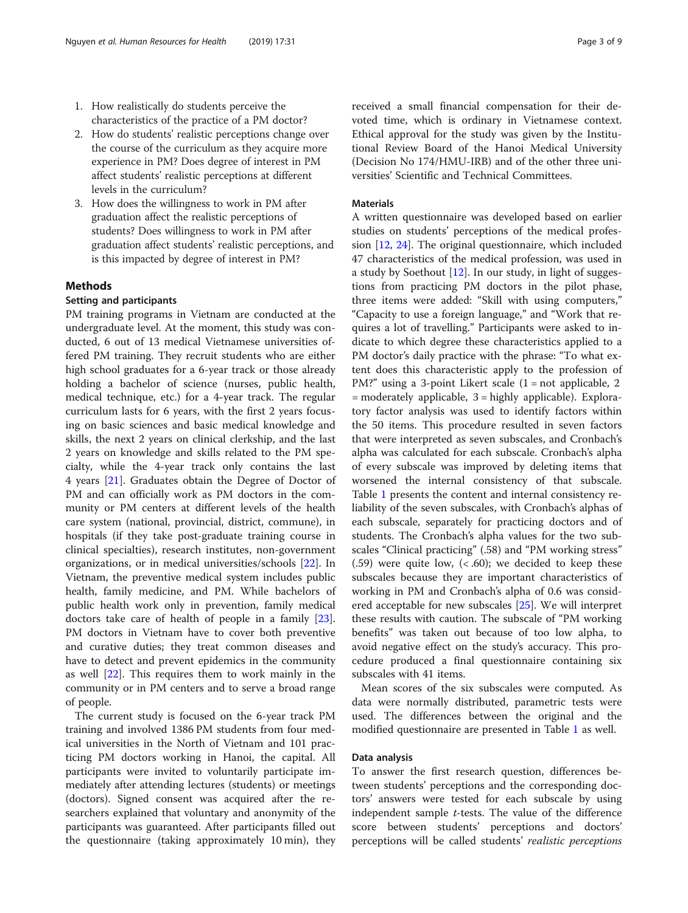- 1. How realistically do students perceive the characteristics of the practice of a PM doctor?
- 2. How do students' realistic perceptions change over the course of the curriculum as they acquire more experience in PM? Does degree of interest in PM affect students' realistic perceptions at different levels in the curriculum?
- 3. How does the willingness to work in PM after graduation affect the realistic perceptions of students? Does willingness to work in PM after graduation affect students' realistic perceptions, and is this impacted by degree of interest in PM?

# Methods

### Setting and participants

PM training programs in Vietnam are conducted at the undergraduate level. At the moment, this study was conducted, 6 out of 13 medical Vietnamese universities offered PM training. They recruit students who are either high school graduates for a 6-year track or those already holding a bachelor of science (nurses, public health, medical technique, etc.) for a 4-year track. The regular curriculum lasts for 6 years, with the first 2 years focusing on basic sciences and basic medical knowledge and skills, the next 2 years on clinical clerkship, and the last 2 years on knowledge and skills related to the PM specialty, while the 4-year track only contains the last 4 years [\[21](#page-8-0)]. Graduates obtain the Degree of Doctor of PM and can officially work as PM doctors in the community or PM centers at different levels of the health care system (national, provincial, district, commune), in hospitals (if they take post-graduate training course in clinical specialties), research institutes, non-government organizations, or in medical universities/schools [\[22\]](#page-8-0). In Vietnam, the preventive medical system includes public health, family medicine, and PM. While bachelors of public health work only in prevention, family medical doctors take care of health of people in a family [\[23](#page-8-0)]. PM doctors in Vietnam have to cover both preventive and curative duties; they treat common diseases and have to detect and prevent epidemics in the community as well [[22\]](#page-8-0). This requires them to work mainly in the community or in PM centers and to serve a broad range of people.

The current study is focused on the 6-year track PM training and involved 1386 PM students from four medical universities in the North of Vietnam and 101 practicing PM doctors working in Hanoi, the capital. All participants were invited to voluntarily participate immediately after attending lectures (students) or meetings (doctors). Signed consent was acquired after the researchers explained that voluntary and anonymity of the participants was guaranteed. After participants filled out the questionnaire (taking approximately 10 min), they received a small financial compensation for their devoted time, which is ordinary in Vietnamese context. Ethical approval for the study was given by the Institutional Review Board of the Hanoi Medical University (Decision No 174/HMU-IRB) and of the other three universities' Scientific and Technical Committees.

# **Materials**

A written questionnaire was developed based on earlier studies on students' perceptions of the medical profession [[12,](#page-8-0) [24\]](#page-8-0). The original questionnaire, which included 47 characteristics of the medical profession, was used in a study by Soethout  $[12]$  $[12]$ . In our study, in light of suggestions from practicing PM doctors in the pilot phase, three items were added: "Skill with using computers," "Capacity to use a foreign language," and "Work that requires a lot of travelling." Participants were asked to indicate to which degree these characteristics applied to a PM doctor's daily practice with the phrase: "To what extent does this characteristic apply to the profession of PM?" using a 3-point Likert scale  $(1 = not applicable, 2)$ = moderately applicable, 3 = highly applicable). Exploratory factor analysis was used to identify factors within the 50 items. This procedure resulted in seven factors that were interpreted as seven subscales, and Cronbach's alpha was calculated for each subscale. Cronbach's alpha of every subscale was improved by deleting items that worsened the internal consistency of that subscale. Table [1](#page-3-0) presents the content and internal consistency reliability of the seven subscales, with Cronbach's alphas of each subscale, separately for practicing doctors and of students. The Cronbach's alpha values for the two subscales "Clinical practicing" (.58) and "PM working stress"  $(.59)$  were quite low,  $(<.60)$ ; we decided to keep these subscales because they are important characteristics of working in PM and Cronbach's alpha of 0.6 was considered acceptable for new subscales [[25](#page-8-0)]. We will interpret these results with caution. The subscale of "PM working benefits" was taken out because of too low alpha, to avoid negative effect on the study's accuracy. This procedure produced a final questionnaire containing six subscales with 41 items.

Mean scores of the six subscales were computed. As data were normally distributed, parametric tests were used. The differences between the original and the modified questionnaire are presented in Table [1](#page-3-0) as well.

# Data analysis

To answer the first research question, differences between students' perceptions and the corresponding doctors' answers were tested for each subscale by using independent sample  $t$ -tests. The value of the difference score between students' perceptions and doctors' perceptions will be called students' realistic perceptions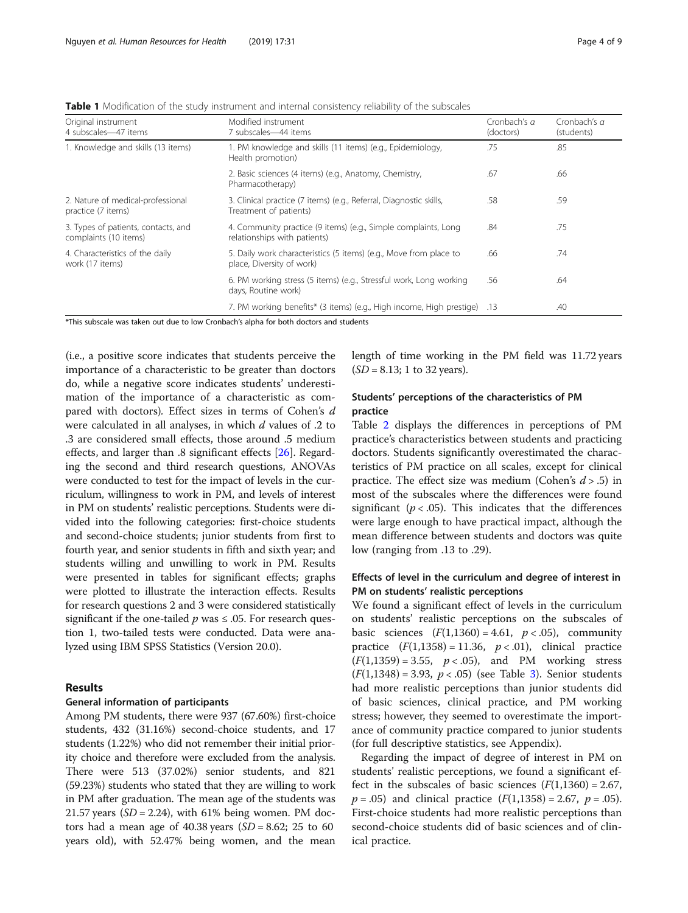| Original instrument<br>4 subscales-47 items                  | Modified instrument<br>7 subscales-44 items                                                    | Cronbach's a<br>(doctors) | Cronbach's $\alpha$<br>(students) |
|--------------------------------------------------------------|------------------------------------------------------------------------------------------------|---------------------------|-----------------------------------|
| 1. Knowledge and skills (13 items)                           | 1. PM knowledge and skills (11 items) (e.g., Epidemiology,<br>Health promotion)                | .75                       | .85                               |
|                                                              | 2. Basic sciences (4 items) (e.g., Anatomy, Chemistry,<br>Pharmacotherapy)                     | .67                       | .66                               |
| 2. Nature of medical-professional<br>practice (7 items)      | 3. Clinical practice (7 items) (e.g., Referral, Diagnostic skills,<br>Treatment of patients)   | .58                       | .59                               |
| 3. Types of patients, contacts, and<br>complaints (10 items) | 4. Community practice (9 items) (e.g., Simple complaints, Long<br>relationships with patients) | .84                       | .75                               |
| 4. Characteristics of the daily<br>work (17 items)           | 5. Daily work characteristics (5 items) (e.g., Move from place to<br>place, Diversity of work) | .66                       | .74                               |
|                                                              | 6. PM working stress (5 items) (e.g., Stressful work, Long working<br>days, Routine work)      | .56                       | .64                               |
|                                                              | 7. PM working benefits* (3 items) (e.g., High income, High prestige) .13                       |                           | .40                               |

<span id="page-3-0"></span>Table 1 Modification of the study instrument and internal consistency reliability of the subscales

\*This subscale was taken out due to low Cronbach's alpha for both doctors and students

(i.e., a positive score indicates that students perceive the importance of a characteristic to be greater than doctors do, while a negative score indicates students' underestimation of the importance of a characteristic as compared with doctors). Effect sizes in terms of Cohen's d were calculated in all analyses, in which d values of .2 to .3 are considered small effects, those around .5 medium effects, and larger than .8 significant effects [[26\]](#page-8-0). Regarding the second and third research questions, ANOVAs were conducted to test for the impact of levels in the curriculum, willingness to work in PM, and levels of interest in PM on students' realistic perceptions. Students were divided into the following categories: first-choice students and second-choice students; junior students from first to fourth year, and senior students in fifth and sixth year; and students willing and unwilling to work in PM. Results were presented in tables for significant effects; graphs were plotted to illustrate the interaction effects. Results for research questions 2 and 3 were considered statistically significant if the one-tailed  $p$  was  $\leq$  0.05. For research question 1, two-tailed tests were conducted. Data were analyzed using IBM SPSS Statistics (Version 20.0).

# Results

#### General information of participants

Among PM students, there were 937 (67.60%) first-choice students, 432 (31.16%) second-choice students, and 17 students (1.22%) who did not remember their initial priority choice and therefore were excluded from the analysis. There were 513 (37.02%) senior students, and 821 (59.23%) students who stated that they are willing to work in PM after graduation. The mean age of the students was 21.57 years  $(SD = 2.24)$ , with 61% being women. PM doctors had a mean age of  $40.38$  years  $(SD = 8.62; 25$  to 60 years old), with 52.47% being women, and the mean length of time working in the PM field was 11.72 years  $(SD = 8.13; 1$  to 32 years).

# Students' perceptions of the characteristics of PM practice

Table [2](#page-4-0) displays the differences in perceptions of PM practice's characteristics between students and practicing doctors. Students significantly overestimated the characteristics of PM practice on all scales, except for clinical practice. The effect size was medium (Cohen's  $d > 0.5$ ) in most of the subscales where the differences were found significant ( $p < .05$ ). This indicates that the differences were large enough to have practical impact, although the mean difference between students and doctors was quite low (ranging from .13 to .29).

# Effects of level in the curriculum and degree of interest in PM on students' realistic perceptions

We found a significant effect of levels in the curriculum on students' realistic perceptions on the subscales of basic sciences  $(F(1,1360) = 4.61, p < .05)$ , community practice  $(F(1,1358) = 11.36, p < .01)$ , clinical practice  $(F(1, 1359) = 3.55, p < .05)$ , and PM working stress  $(F(1,1348) = 3.93, p < .05)$  (see Table [3\)](#page-4-0). Senior students had more realistic perceptions than junior students did of basic sciences, clinical practice, and PM working stress; however, they seemed to overestimate the importance of community practice compared to junior students (for full descriptive statistics, see Appendix).

Regarding the impact of degree of interest in PM on students' realistic perceptions, we found a significant effect in the subscales of basic sciences  $(F(1,1360) = 2.67)$ ,  $p = .05$ ) and clinical practice  $(F(1, 1358) = 2.67, p = .05)$ . First-choice students had more realistic perceptions than second-choice students did of basic sciences and of clinical practice.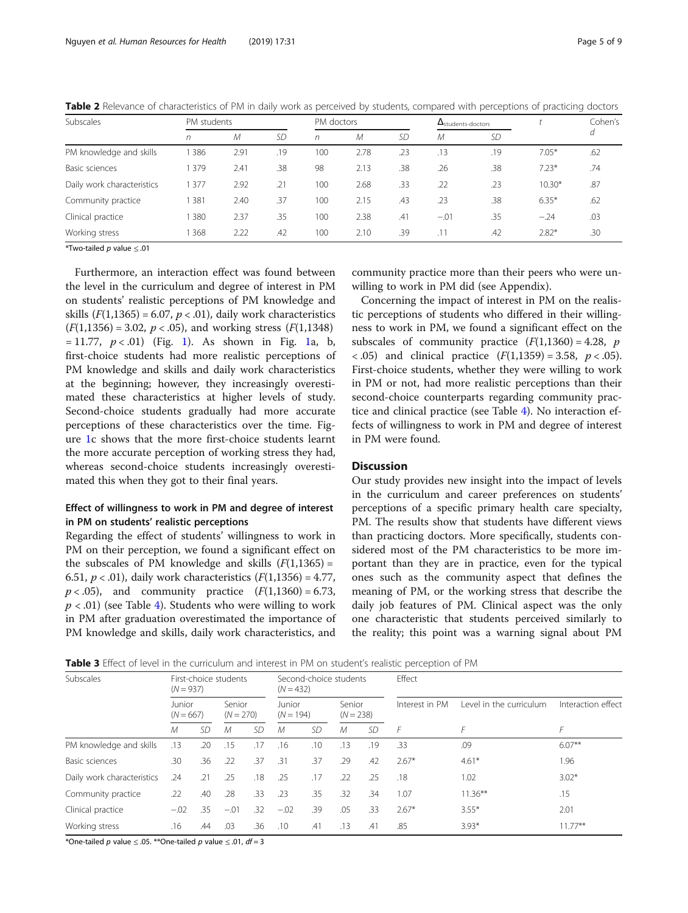| Subscales                  | PM students |      |     | PM doctors |      |     | $\Delta$ <sub>students-doctors</sub> |           |          | Cohen's |  |
|----------------------------|-------------|------|-----|------------|------|-----|--------------------------------------|-----------|----------|---------|--|
|                            | n           | M    | SD. | n          | М    | SD  | M                                    | <b>SD</b> |          |         |  |
| PM knowledge and skills    | 386         | 2.91 | .19 | 100        | 2.78 | .23 | .13                                  | .19       | $7.05*$  | .62     |  |
| Basic sciences             | 379         | 2.41 | .38 | 98         | 2.13 | .38 | .26                                  | .38       | $7.23*$  | .74     |  |
| Daily work characteristics | 377         | 2.92 | .21 | 100        | 2.68 | .33 | .22                                  | .23       | $10.30*$ | .87     |  |
| Community practice         | 381         | 2.40 | .37 | 100        | 2.15 | .43 | .23                                  | .38       | $6.35*$  | .62     |  |
| Clinical practice          | 380         | 2.37 | .35 | 100        | 2.38 | .41 | $-.01$                               | .35       | $-.24$   | .03     |  |
| Working stress             | 368         | 2.22 | .42 | 100        | 2.10 | .39 | .11                                  | .42       | $2.82*$  | .30     |  |
|                            |             |      |     |            |      |     |                                      |           |          |         |  |

<span id="page-4-0"></span>Table 2 Relevance of characteristics of PM in daily work as perceived by students, compared with perceptions of practicing doctors

Two-tailed  $p$  value  $< 01$ 

Furthermore, an interaction effect was found between the level in the curriculum and degree of interest in PM on students' realistic perceptions of PM knowledge and skills  $(F(1,1365) = 6.07, p < .01)$ , daily work characteristics  $(F(1,1356) = 3.02, p < .05)$ , and working stress  $(F(1,1348))$  $= 11.77, p < .01$  $= 11.77, p < .01$  $= 11.77, p < .01$ ) (Fig. 1). As shown in Fig. 1a, b, first-choice students had more realistic perceptions of PM knowledge and skills and daily work characteristics at the beginning; however, they increasingly overestimated these characteristics at higher levels of study. Second-choice students gradually had more accurate perceptions of these characteristics over the time. Figure [1](#page-5-0)c shows that the more first-choice students learnt the more accurate perception of working stress they had, whereas second-choice students increasingly overestimated this when they got to their final years.

# Effect of willingness to work in PM and degree of interest in PM on students' realistic perceptions

Regarding the effect of students' willingness to work in PM on their perception, we found a significant effect on the subscales of PM knowledge and skills  $(F(1,1365))$  = 6.51,  $p < .01$ ), daily work characteristics  $(F(1, 1356) = 4.77$ ,  $p < .05$ ), and community practice  $(F(1,1360) = 6.73,$  $p < .01$ ) (see Table [4\)](#page-5-0). Students who were willing to work in PM after graduation overestimated the importance of PM knowledge and skills, daily work characteristics, and

community practice more than their peers who were unwilling to work in PM did (see Appendix).

Concerning the impact of interest in PM on the realistic perceptions of students who differed in their willingness to work in PM, we found a significant effect on the subscales of community practice  $(F(1,1360) = 4.28, p$  $(6.05)$  and clinical practice  $(F(1,1359)) = 3.58, p < .05$ . First-choice students, whether they were willing to work in PM or not, had more realistic perceptions than their second-choice counterparts regarding community practice and clinical practice (see Table [4](#page-5-0)). No interaction effects of willingness to work in PM and degree of interest in PM were found.

# **Discussion**

Our study provides new insight into the impact of levels in the curriculum and career preferences on students' perceptions of a specific primary health care specialty, PM. The results show that students have different views than practicing doctors. More specifically, students considered most of the PM characteristics to be more important than they are in practice, even for the typical ones such as the community aspect that defines the meaning of PM, or the working stress that describe the daily job features of PM. Clinical aspect was the only one characteristic that students perceived similarly to the reality; this point was a warning signal about PM

Table 3 Effect of level in the curriculum and interest in PM on student's realistic perception of PM

| Subscales                  | $(N = 937)$           |           | First-choice students |     | $(N = 432)$           |           | Second-choice students |     | Effect         |                         |                    |  |  |  |  |
|----------------------------|-----------------------|-----------|-----------------------|-----|-----------------------|-----------|------------------------|-----|----------------|-------------------------|--------------------|--|--|--|--|
|                            | Junior<br>$(N = 667)$ |           | Senior<br>$(N = 270)$ |     | Junior<br>$(N = 194)$ |           | Senior<br>$(N = 238)$  |     | Interest in PM | Level in the curriculum | Interaction effect |  |  |  |  |
|                            | М                     | <b>SD</b> | М                     | SD  | М                     | <b>SD</b> | М                      | SD  | $\sqrt{F}$     | F                       | F                  |  |  |  |  |
| PM knowledge and skills    | .13                   | .20       | .15                   | .17 | .16                   | .10       | .13                    | .19 | .33            | .09                     | $6.07**$           |  |  |  |  |
| Basic sciences             | .30                   | .36       | .22                   | .37 | .31                   | .37       | .29                    | .42 | $2.67*$        | $4.61*$                 | 1.96               |  |  |  |  |
| Daily work characteristics | .24                   | .21       | .25                   | .18 | .25                   | .17       | .22                    | .25 | .18            | 1.02                    | $3.02*$            |  |  |  |  |
| Community practice         | .22                   | .40       | .28                   | .33 | .23                   | .35       | .32                    | .34 | 1.07           | $11.36***$              | .15                |  |  |  |  |
| Clinical practice          | $-.02$                | .35       | $-.01$                | .32 | $-.02$                | .39       | .05                    | .33 | $2.67*$        | $3.55*$                 | 2.01               |  |  |  |  |
| Working stress             | .16                   | .44       | .03                   | .36 | .10                   | .41       | .13                    | .41 | .85            | $3.93*$                 | $11.77***$         |  |  |  |  |

\*One-tailed p value  $\leq$  .05. \*\*One-tailed p value  $\leq$  .01, df = 3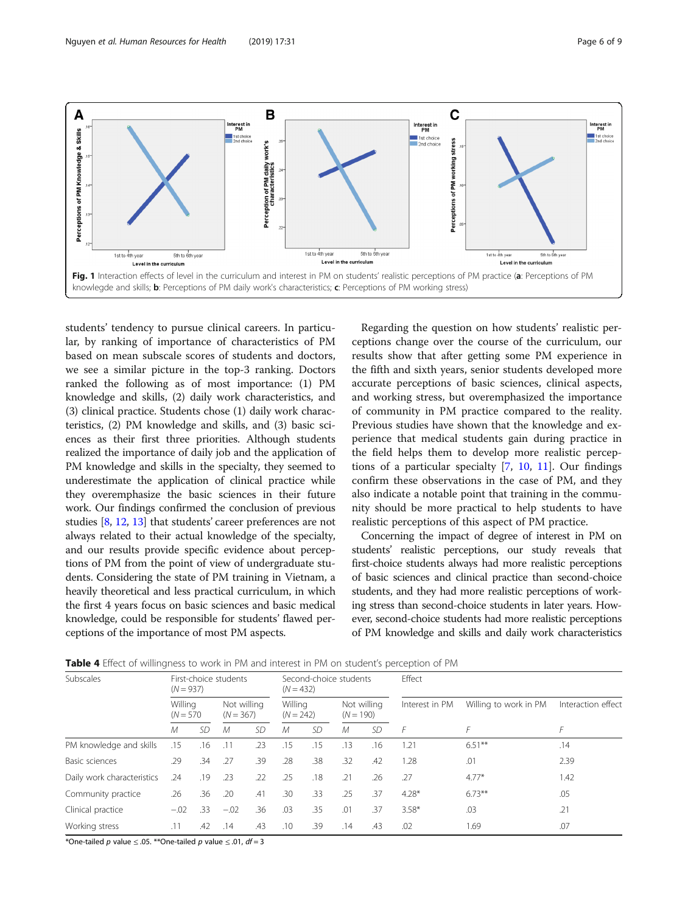<span id="page-5-0"></span>

students' tendency to pursue clinical careers. In particular, by ranking of importance of characteristics of PM based on mean subscale scores of students and doctors, we see a similar picture in the top-3 ranking. Doctors ranked the following as of most importance: (1) PM knowledge and skills, (2) daily work characteristics, and (3) clinical practice. Students chose (1) daily work characteristics, (2) PM knowledge and skills, and (3) basic sciences as their first three priorities. Although students realized the importance of daily job and the application of PM knowledge and skills in the specialty, they seemed to underestimate the application of clinical practice while they overemphasize the basic sciences in their future work. Our findings confirmed the conclusion of previous studies [\[8](#page-8-0), [12,](#page-8-0) [13](#page-8-0)] that students' career preferences are not always related to their actual knowledge of the specialty, and our results provide specific evidence about perceptions of PM from the point of view of undergraduate students. Considering the state of PM training in Vietnam, a heavily theoretical and less practical curriculum, in which the first 4 years focus on basic sciences and basic medical knowledge, could be responsible for students' flawed perceptions of the importance of most PM aspects.

Regarding the question on how students' realistic perceptions change over the course of the curriculum, our results show that after getting some PM experience in the fifth and sixth years, senior students developed more accurate perceptions of basic sciences, clinical aspects, and working stress, but overemphasized the importance of community in PM practice compared to the reality. Previous studies have shown that the knowledge and experience that medical students gain during practice in the field helps them to develop more realistic perceptions of a particular specialty [\[7](#page-7-0), [10,](#page-8-0) [11](#page-8-0)]. Our findings confirm these observations in the case of PM, and they also indicate a notable point that training in the community should be more practical to help students to have realistic perceptions of this aspect of PM practice.

Concerning the impact of degree of interest in PM on students' realistic perceptions, our study reveals that first-choice students always had more realistic perceptions of basic sciences and clinical practice than second-choice students, and they had more realistic perceptions of working stress than second-choice students in later years. However, second-choice students had more realistic perceptions of PM knowledge and skills and daily work characteristics

Table 4 Effect of willingness to work in PM and interest in PM on student's perception of PM

| Subscales                  |                        | Second-choice students<br>First-choice students<br>$(N = 937)$<br>$(N = 432)$ |                            |           |     |                        |     |                            | Effect         |                       |                    |  |  |  |  |  |
|----------------------------|------------------------|-------------------------------------------------------------------------------|----------------------------|-----------|-----|------------------------|-----|----------------------------|----------------|-----------------------|--------------------|--|--|--|--|--|
|                            | Willing<br>$(N = 570)$ |                                                                               | Not willing<br>$(N = 367)$ |           |     | Willing<br>$(N = 242)$ |     | Not willing<br>$(N = 190)$ | Interest in PM | Willing to work in PM | Interaction effect |  |  |  |  |  |
|                            | М                      | <b>SD</b>                                                                     | М                          | <b>SD</b> | М   | SD                     | М   | <b>SD</b>                  | F              | F                     | F                  |  |  |  |  |  |
| PM knowledge and skills    | .15                    | .16                                                                           |                            | .23       | .15 | .15                    | .13 | .16                        | 1.21           | $6.51***$             | .14                |  |  |  |  |  |
| Basic sciences             | .29                    | .34                                                                           | .27                        | .39       | .28 | .38                    | .32 | .42                        | 1.28           | .01                   | 2.39               |  |  |  |  |  |
| Daily work characteristics | .24                    | .19                                                                           | .23                        | .22       | .25 | .18                    | .21 | .26                        | .27            | $4.77*$               | 1.42               |  |  |  |  |  |
| Community practice         | .26                    | .36                                                                           | .20                        | .41       | .30 | .33                    | .25 | .37                        | $4.28*$        | $6.73***$             | .05                |  |  |  |  |  |
| Clinical practice          | $-.02$                 | .33                                                                           | $-.02$                     | .36       | .03 | .35                    | .01 | 37                         | $3.58*$        | .03                   | .21                |  |  |  |  |  |
| Working stress             | .11                    | .42                                                                           | .14                        | .43       | .10 | .39                    |     | .43                        | .02            | 1.69                  | .07                |  |  |  |  |  |

\*One-tailed p value  $\leq$  .05. \*\*One-tailed p value  $\leq$  .01, df = 3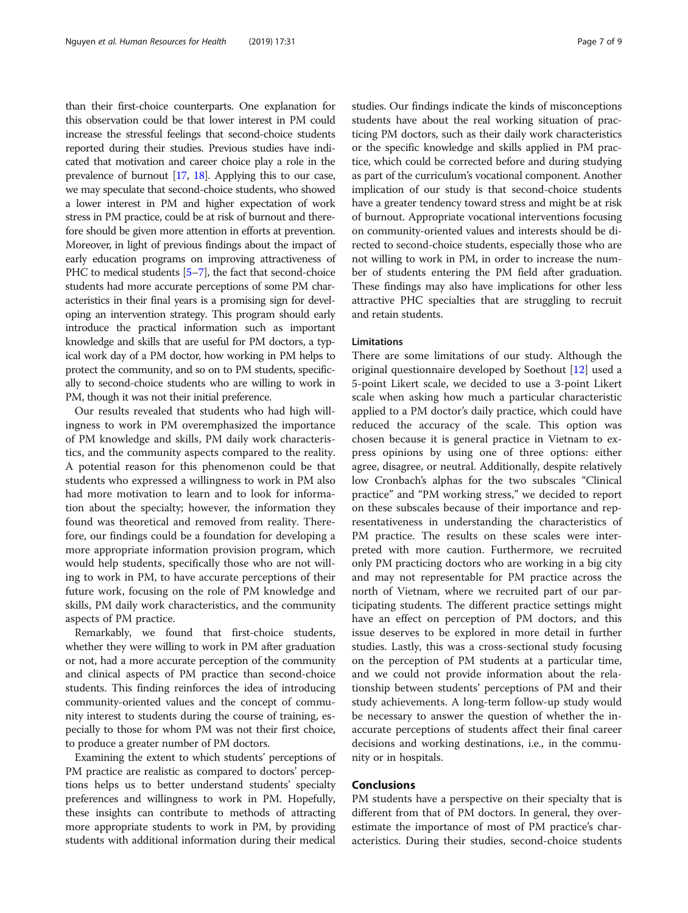than their first-choice counterparts. One explanation for this observation could be that lower interest in PM could increase the stressful feelings that second-choice students reported during their studies. Previous studies have indicated that motivation and career choice play a role in the prevalence of burnout [\[17,](#page-8-0) [18](#page-8-0)]. Applying this to our case, we may speculate that second-choice students, who showed a lower interest in PM and higher expectation of work stress in PM practice, could be at risk of burnout and therefore should be given more attention in efforts at prevention. Moreover, in light of previous findings about the impact of early education programs on improving attractiveness of PHC to medical students [\[5](#page-7-0)–[7\]](#page-7-0), the fact that second-choice students had more accurate perceptions of some PM characteristics in their final years is a promising sign for developing an intervention strategy. This program should early introduce the practical information such as important knowledge and skills that are useful for PM doctors, a typical work day of a PM doctor, how working in PM helps to protect the community, and so on to PM students, specifically to second-choice students who are willing to work in PM, though it was not their initial preference.

Our results revealed that students who had high willingness to work in PM overemphasized the importance of PM knowledge and skills, PM daily work characteristics, and the community aspects compared to the reality. A potential reason for this phenomenon could be that students who expressed a willingness to work in PM also had more motivation to learn and to look for information about the specialty; however, the information they found was theoretical and removed from reality. Therefore, our findings could be a foundation for developing a more appropriate information provision program, which would help students, specifically those who are not willing to work in PM, to have accurate perceptions of their future work, focusing on the role of PM knowledge and skills, PM daily work characteristics, and the community aspects of PM practice.

Remarkably, we found that first-choice students, whether they were willing to work in PM after graduation or not, had a more accurate perception of the community and clinical aspects of PM practice than second-choice students. This finding reinforces the idea of introducing community-oriented values and the concept of community interest to students during the course of training, especially to those for whom PM was not their first choice, to produce a greater number of PM doctors.

Examining the extent to which students' perceptions of PM practice are realistic as compared to doctors' perceptions helps us to better understand students' specialty preferences and willingness to work in PM. Hopefully, these insights can contribute to methods of attracting more appropriate students to work in PM, by providing students with additional information during their medical studies. Our findings indicate the kinds of misconceptions students have about the real working situation of practicing PM doctors, such as their daily work characteristics or the specific knowledge and skills applied in PM practice, which could be corrected before and during studying as part of the curriculum's vocational component. Another implication of our study is that second-choice students have a greater tendency toward stress and might be at risk of burnout. Appropriate vocational interventions focusing on community-oriented values and interests should be directed to second-choice students, especially those who are not willing to work in PM, in order to increase the number of students entering the PM field after graduation. These findings may also have implications for other less attractive PHC specialties that are struggling to recruit and retain students.

# Limitations

There are some limitations of our study. Although the original questionnaire developed by Soethout [[12](#page-8-0)] used a 5-point Likert scale, we decided to use a 3-point Likert scale when asking how much a particular characteristic applied to a PM doctor's daily practice, which could have reduced the accuracy of the scale. This option was chosen because it is general practice in Vietnam to express opinions by using one of three options: either agree, disagree, or neutral. Additionally, despite relatively low Cronbach's alphas for the two subscales "Clinical practice" and "PM working stress," we decided to report on these subscales because of their importance and representativeness in understanding the characteristics of PM practice. The results on these scales were interpreted with more caution. Furthermore, we recruited only PM practicing doctors who are working in a big city and may not representable for PM practice across the north of Vietnam, where we recruited part of our participating students. The different practice settings might have an effect on perception of PM doctors, and this issue deserves to be explored in more detail in further studies. Lastly, this was a cross-sectional study focusing on the perception of PM students at a particular time, and we could not provide information about the relationship between students' perceptions of PM and their study achievements. A long-term follow-up study would be necessary to answer the question of whether the inaccurate perceptions of students affect their final career decisions and working destinations, i.e., in the community or in hospitals.

# Conclusions

PM students have a perspective on their specialty that is different from that of PM doctors. In general, they overestimate the importance of most of PM practice's characteristics. During their studies, second-choice students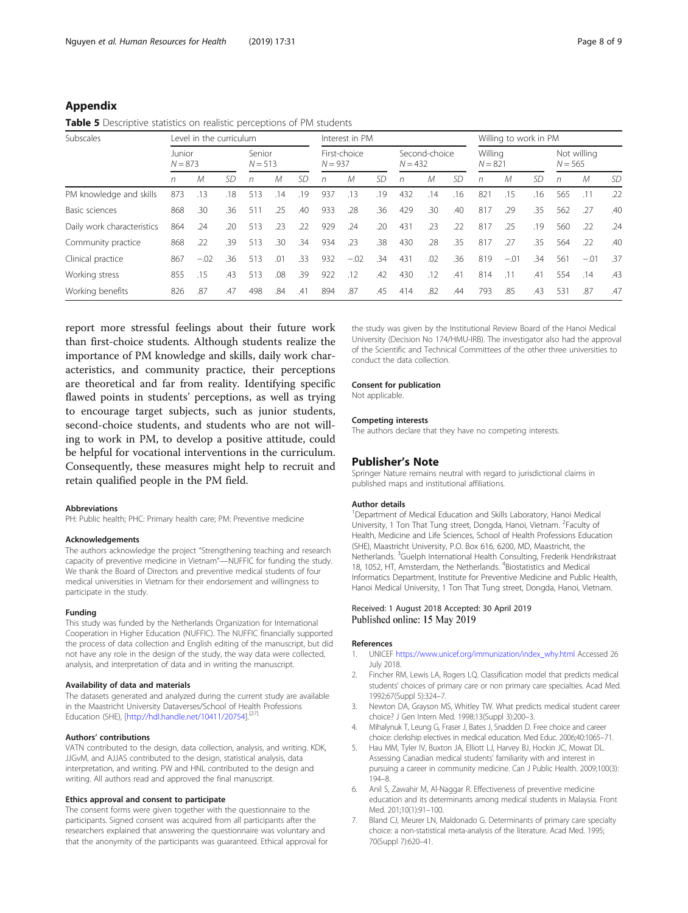# <span id="page-7-0"></span>Appendix

**Table 5** Descriptive statistics on realistic perceptions of PM students

| Subscales                  |     | evel in the curriculum |     |     |                     |     | Interest in PM |                           |     |     |                            |           |     | Willing to work in PM |     |     |                          |     |  |
|----------------------------|-----|------------------------|-----|-----|---------------------|-----|----------------|---------------------------|-----|-----|----------------------------|-----------|-----|-----------------------|-----|-----|--------------------------|-----|--|
|                            |     | Junior<br>$N = 873$    |     |     | Senior<br>$N = 513$ |     |                | First-choice<br>$N = 937$ |     |     | Second-choice<br>$N = 432$ |           |     | Willing<br>$N = 821$  |     |     | Not willing<br>$N = 565$ |     |  |
|                            | n   | М                      | SD  | n   | М                   | SD  | n              | М                         | SD  | n   | М                          | <b>SD</b> | n   | М                     | SD  | n   | М                        | SD. |  |
| PM knowledge and skills    | 873 | .13                    | .18 | 513 | .14                 | .19 | 937            | .13                       | .19 | 432 | .14                        | .16       | 821 | .15                   | .16 | 565 |                          | .22 |  |
| Basic sciences             | 868 | .30                    | .36 | 511 | .25                 | .40 | 933            | .28                       | .36 | 429 | .30                        | .40       | 817 | .29                   | .35 | 562 | .27                      | .40 |  |
| Daily work characteristics | 864 | .24                    | .20 | 513 | .23                 | .22 | 929            | .24                       | .20 | 431 | .23                        | .22       | 817 | .25                   | .19 | 560 | .22                      | .24 |  |
| Community practice         | 868 | .22                    | 39  | 513 | .30                 | .34 | 934            | .23                       | .38 | 430 | .28                        | .35       | 817 | .27                   | .35 | 564 | .22                      | .40 |  |
| Clinical practice          | 867 | $-.02$                 | .36 | 513 | .01                 | .33 | 932            | $-.02$                    | .34 | 431 | .02                        | .36       | 819 | $-.01$                | .34 | 561 | $-.01$                   | .37 |  |
| Working stress             | 855 | .15                    | .43 | 513 | .08                 | .39 | 922            | .12                       | .42 | 430 | .12                        | .41       | 814 | .11                   | .41 | 554 | .14                      | .43 |  |
| Working benefits           | 826 | .87                    | .47 | 498 | .84                 | .41 | 894            | .87                       | .45 | 414 | .82                        | .44       | 793 | .85                   | .43 | 531 | .87                      | .47 |  |

report more stressful feelings about their future work than first-choice students. Although students realize the importance of PM knowledge and skills, daily work characteristics, and community practice, their perceptions are theoretical and far from reality. Identifying specific flawed points in students' perceptions, as well as trying to encourage target subjects, such as junior students, second-choice students, and students who are not willing to work in PM, to develop a positive attitude, could be helpful for vocational interventions in the curriculum. Consequently, these measures might help to recruit and retain qualified people in the PM field.

# Abbreviations

PH: Public health; PHC: Primary health care; PM: Preventive medicine

#### Acknowledgements

The authors acknowledge the project "Strengthening teaching and research capacity of preventive medicine in Vietnam"—NUFFIC for funding the study. We thank the Board of Directors and preventive medical students of four medical universities in Vietnam for their endorsement and willingness to participate in the study.

#### Funding

This study was funded by the Netherlands Organization for International Cooperation in Higher Education (NUFFIC). The NUFFIC financially supported the process of data collection and English editing of the manuscript, but did not have any role in the design of the study, the way data were collected, analysis, and interpretation of data and in writing the manuscript.

#### Availability of data and materials

The datasets generated and analyzed during the current study are available in the Maastricht University Dataverses/School of Health Professions Education (SHE), [<http://hdl.handle.net/10411/20754>].[27]

# Authors' contributions

VATN contributed to the design, data collection, analysis, and writing. KDK, JJGvM, and AJJAS contributed to the design, statistical analysis, data interpretation, and writing. PW and HNL contributed to the design and writing. All authors read and approved the final manuscript.

# Ethics approval and consent to participate

The consent forms were given together with the questionnaire to the participants. Signed consent was acquired from all participants after the researchers explained that answering the questionnaire was voluntary and that the anonymity of the participants was guaranteed. Ethical approval for

the study was given by the Institutional Review Board of the Hanoi Medical University (Decision No 174/HMU-IRB). The investigator also had the approval of the Scientific and Technical Committees of the other three universities to conduct the data collection.

#### Consent for publication

Not applicable.

#### Competing interests

The authors declare that they have no competing interests.

#### Publisher's Note

Springer Nature remains neutral with regard to jurisdictional claims in published maps and institutional affiliations.

#### Author details

<sup>1</sup> Department of Medical Education and Skills Laboratory, Hanoi Medical University, 1 Ton That Tung street, Dongda, Hanoi, Vietnam. <sup>2</sup>Faculty of Health, Medicine and Life Sciences, School of Health Professions Education (SHE), Maastricht University, P.O. Box 616, 6200, MD, Maastricht, the Netherlands. <sup>3</sup>Guelph International Health Consulting, Frederik Hendrikstraat 18, 1052, HT, Amsterdam, the Netherlands. <sup>4</sup> Biostatistics and Medical Informatics Department, Institute for Preventive Medicine and Public Health, Hanoi Medical University, 1 Ton That Tung street, Dongda, Hanoi, Vietnam.

# Received: 1 August 2018 Accepted: 30 April 2019 Published online: 15 May 2019

#### References

- 1. UNICEF [https://www.unicef.org/immunization/index\\_why.html](https://www.unicef.org/immunization/index_why.html) Accessed 26 July 2018.
- Fincher RM, Lewis LA, Rogers LQ. Classification model that predicts medical students' choices of primary care or non primary care specialties. Acad Med. 1992;67(Suppl 5):324–7.
- 3. Newton DA, Grayson MS, Whitley TW. What predicts medical student career choice? J Gen Intern Med. 1998;13(Suppl 3):200–3.
- 4. Mihalynuk T, Leung G, Fraser J, Bates J, Snadden D. Free choice and career choice: clerkship electives in medical education. Med Educ. 2006;40:1065–71.
- Hau MM, Tyler IV, Buxton JA, Elliott LJ, Harvey BJ, Hockin JC, Mowat DL. Assessing Canadian medical students' familiarity with and interest in pursuing a career in community medicine. Can J Public Health. 2009;100(3): 194–8.
- 6. Anil S, Zawahir M, Al-Naggar R. Effectiveness of preventive medicine education and its determinants among medical students in Malaysia. Front Med. 201;10(1):91–100.
- 7. Bland CJ, Meurer LN, Maldonado G. Determinants of primary care specialty choice: a non-statistical meta-analysis of the literature. Acad Med. 1995; 70(Suppl 7):620–41.